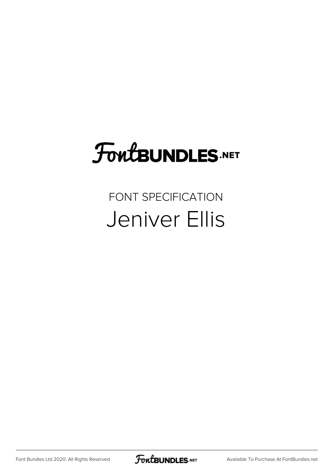# **FoutBUNDLES.NET**

#### FONT SPECIFICATION Jeniver Ellis

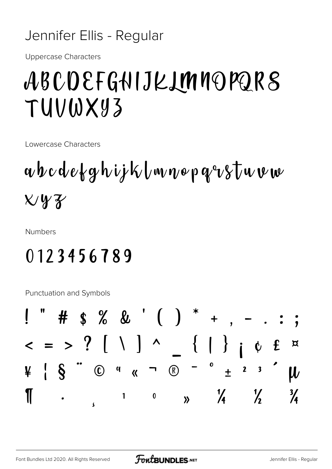#### Jennifer Ellis - Regular

Uppercase Characters

### ABCDEFGHIJKLMNOPQRS TUVWXYZ

Lowercase Characters

## $\alpha$ bcdefghijklmnopqvstuvm  $X\,$

Numbers

#### 0123456789

Punctuation and Symbols

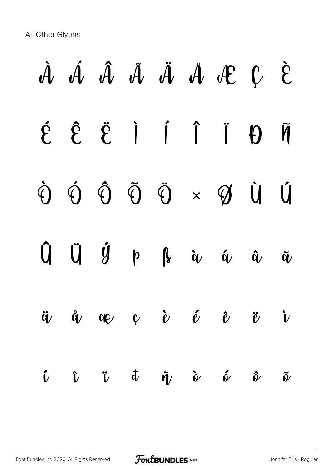All Other Glyphs

# À Á Â Ã Ä Å Æ Ç È É Ê Ë Ì Í Î Ï Ð Ñ Ò Ó Ô Õ Ö × Ø Ù Ú  $\hat{U}$   $\hat{U}$   $\hat{y}$   $\uprho$   $\hat{\bf k}$  à  $\omega$  á  $\hat{\bf u}$   $\hat{\bf w}$  $\ddot{a}$   $\ddot{a}$   $\alpha$   $\dot{c}$   $\dot{c}$   $\ddot{c}$   $\ddot{c}$   $\ddot{c}$  $\hat{\nu}$   $\hat{\nu}$   $\dot{\sigma}$   $\tilde{\eta}$   $\dot{\sigma}$   $\hat{\sigma}$   $\tilde{\sigma}$   $\tilde{\sigma}$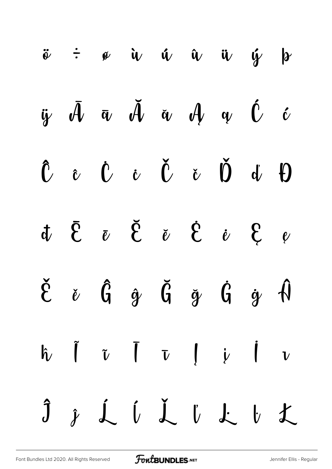|  |  |  | $\ddot{\phi}$ $\div$ $\phi$ $\dot{u}$ $\dot{u}$ $\ddot{u}$ $\ddot{u}$ $\dot{y}$ $\phi$                                                                                                                                                                                                                                                                                                                                                                                    |  |
|--|--|--|---------------------------------------------------------------------------------------------------------------------------------------------------------------------------------------------------------------------------------------------------------------------------------------------------------------------------------------------------------------------------------------------------------------------------------------------------------------------------|--|
|  |  |  | $\ddot{y}$ $\bar{\mathcal{A}}$ $\bar{\alpha}$ $\ddot{\mathcal{A}}$ $\ddot{\alpha}$ $\mathcal{A}$ $\alpha$ $\dot{\mathcal{C}}$ $\dot{\mathcal{C}}$                                                                                                                                                                                                                                                                                                                         |  |
|  |  |  | $\hat{U}$ $\hat{U}$ $\hat{U}$ $\hat{U}$ $\hat{U}$ $\hat{U}$ $\hat{U}$ $\hat{U}$ $\hat{U}$                                                                                                                                                                                                                                                                                                                                                                                 |  |
|  |  |  | $\begin{array}{ccccccccccccc}\n&\textbf{t} & \textbf{v} & \textbf{v} & \textbf{v} & \textbf{v} & \textbf{v} & \textbf{v} & \textbf{v} & \textbf{v} & \textbf{v} & \textbf{v} & \textbf{v} & \textbf{v} & \textbf{v} & \textbf{v} & \textbf{v} & \textbf{v} & \textbf{v} & \textbf{v} & \textbf{v} & \textbf{v} & \textbf{v} & \textbf{v} & \textbf{v} & \textbf{v} & \textbf{v} & \textbf{v} & \textbf{v} & \textbf{v} & \textbf{v$                                       |  |
|  |  |  | $\check{\mathcal{E}}\quad \  \  \check{\mathcal{E}}\quad \  \  \, \hat{\mathcal{G}}\quad \  \, \check{\mathcal{G}}\quad \  \  \, \check{\mathcal{G}}\quad \  \  \, \check{\mathcal{G}}\quad \  \  \, \check{\mathcal{G}}\quad \  \  \, \check{\mathcal{G}}\quad \  \  \, \hat{\mathcal{G}}\quad \  \  \, \hat{\mathcal{G}}\quad \  \  \, \hat{\mathcal{G}}\quad \  \  \, \hat{\mathcal{G}}\quad \  \  \, \hat{\mathcal{G}}\quad \  \  \, \hat{\mathcal{G}}\quad \  \  \,$ |  |
|  |  |  | $\hat{h}$ $\tilde{I}$ $\tilde{v}$ $\overline{I}$ $\overline{v}$ $\overline{v}$ $\overline{v}$ $\overline{v}$ $\overline{v}$                                                                                                                                                                                                                                                                                                                                               |  |
|  |  |  | Ĵ ĵ Ĺ ĺ Ľ ľ Ł ŀ Ł                                                                                                                                                                                                                                                                                                                                                                                                                                                         |  |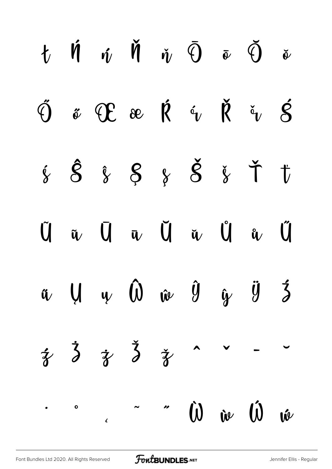|  | $t \quad \text{if} \quad \text{if} \quad \text{if} \quad \text{if} \quad \Theta \quad \bar{\Phi} \quad \bar{\Theta} \quad \bar{\Phi}$                                              |  |  |  |
|--|------------------------------------------------------------------------------------------------------------------------------------------------------------------------------------|--|--|--|
|  | $\check{\vartheta} \quad \text{if} \quad \mathfrak{C} \quad \text{if} \quad \check{\mathfrak{C}} \quad \check{\mathfrak{R}} \quad \check{\mathfrak{C}} \quad \check{\mathfrak{R}}$ |  |  |  |
|  | 8888888777                                                                                                                                                                         |  |  |  |
|  | $\begin{array}{ccccccccccccc}\n\tilde{U} & \tilde{u} & \tilde{U} & \bar{u} & \tilde{U} & \tilde{u} & \tilde{u} & \tilde{u}\n\end{array}$                                           |  |  |  |
|  | $\hat{u}$ $\hat{U}$ $\hat{v}$ $\hat{w}$ $\hat{y}$ $\hat{y}$ $\hat{z}$                                                                                                              |  |  |  |
|  | $\frac{1}{3}$ $\frac{1}{3}$ $\frac{1}{3}$ $\frac{1}{3}$ $\frac{1}{3}$ $\sim$ - -                                                                                                   |  |  |  |
|  | $\therefore$ $\omega$ $\omega$ $\omega$                                                                                                                                            |  |  |  |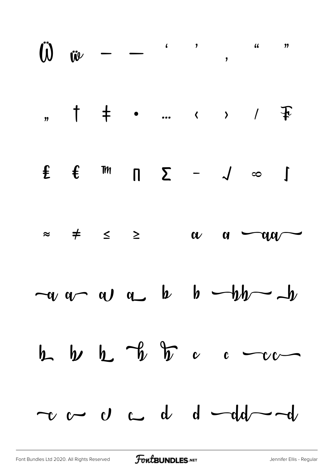|  |  |  | $\overrightarrow{w}$ $ \cdot$ , $\cdot$ , $\cdot$                |  |
|--|--|--|------------------------------------------------------------------|--|
|  |  |  |                                                                  |  |
|  |  |  | $f f m \pi \sum - \sqrt{\infty}$                                 |  |
|  |  |  | $\approx$ $\neq$ $\leq$ $\geq$ $\alpha$ $\alpha$ $\sim$ $\alpha$ |  |
|  |  |  | $-\alpha$ $\alpha$ $\alpha$ $\alpha$ $\beta$ $\beta$ $\beta$     |  |
|  |  |  | $h$ $h$ $h$ $v$ $v$ $c$ $-c$                                     |  |
|  |  |  | $\sim$ $\sim$ $\circ$ $\sim$ $d$ $d$ $\sim$ $d$                  |  |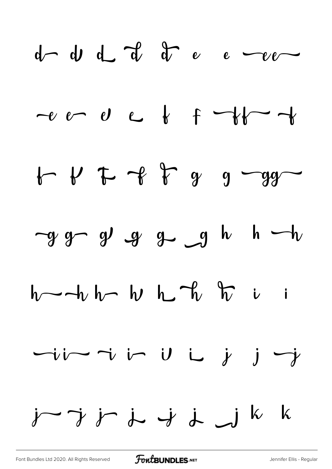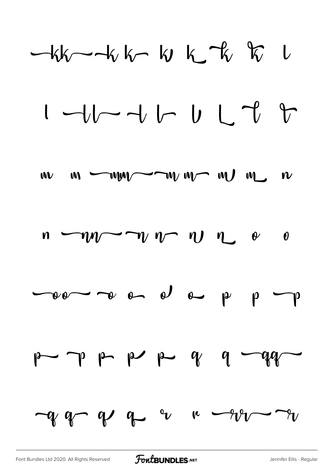$kk$  -  $k$  k  $k$  k  $k$  k  $k$  k









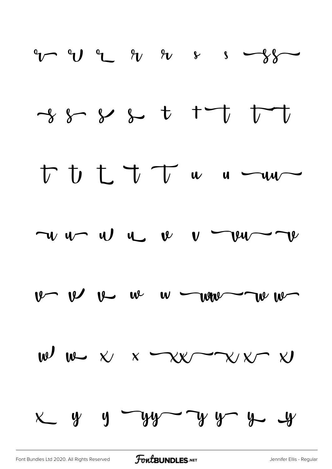